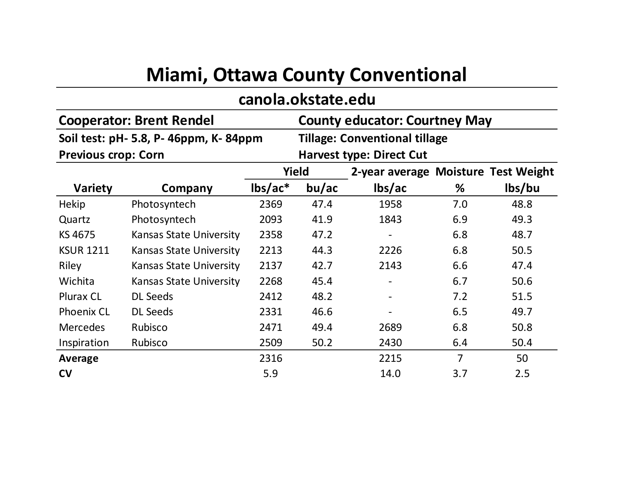## **Miami, Ottawa County Conventional**

## **canola.okstate.edu**

|                                        | <b>Cooperator: Brent Rendel</b> | <b>County educator: Courtney May</b> |                                      |                                     |                |        |  |
|----------------------------------------|---------------------------------|--------------------------------------|--------------------------------------|-------------------------------------|----------------|--------|--|
| Soil test: pH- 5.8, P- 46ppm, K- 84ppm |                                 |                                      | <b>Tillage: Conventional tillage</b> |                                     |                |        |  |
| <b>Previous crop: Corn</b>             |                                 | <b>Harvest type: Direct Cut</b>      |                                      |                                     |                |        |  |
|                                        |                                 | Yield                                |                                      | 2-year average Moisture Test Weight |                |        |  |
| <b>Variety</b>                         | Company                         | $\text{lbs}/\text{ac}^*$             | bu/ac                                | lbs/ac                              | %              | lbs/bu |  |
| <b>Hekip</b>                           | Photosyntech                    | 2369                                 | 47.4                                 | 1958                                | 7.0            | 48.8   |  |
| Quartz                                 | Photosyntech                    | 2093                                 | 41.9                                 | 1843                                | 6.9            | 49.3   |  |
| KS 4675                                | <b>Kansas State University</b>  | 2358                                 | 47.2                                 |                                     | 6.8            | 48.7   |  |
| <b>KSUR 1211</b>                       | <b>Kansas State University</b>  | 2213                                 | 44.3                                 | 2226                                | 6.8            | 50.5   |  |
| Riley                                  | <b>Kansas State University</b>  | 2137                                 | 42.7                                 | 2143                                | 6.6            | 47.4   |  |
| Wichita                                | <b>Kansas State University</b>  | 2268                                 | 45.4                                 |                                     | 6.7            | 50.6   |  |
| Plurax CL                              | <b>DL Seeds</b>                 | 2412                                 | 48.2                                 |                                     | 7.2            | 51.5   |  |
| <b>Phoenix CL</b>                      | <b>DL Seeds</b>                 | 2331                                 | 46.6                                 |                                     | 6.5            | 49.7   |  |
| <b>Mercedes</b>                        | Rubisco                         | 2471                                 | 49.4                                 | 2689                                | 6.8            | 50.8   |  |
| Inspiration                            | Rubisco                         | 2509                                 | 50.2                                 | 2430                                | 6.4            | 50.4   |  |
| Average                                |                                 | 2316                                 |                                      | 2215                                | $\overline{7}$ | 50     |  |
| <b>CV</b>                              |                                 | 5.9                                  |                                      | 14.0                                | 3.7            | 2.5    |  |